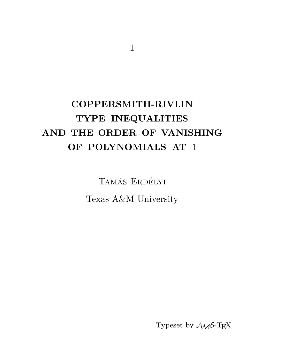# COPPERSMITH-RIVLIN TYPE INEQUALITIES AND THE ORDER OF VANISHING OF POLYNOMIALS AT 1

TAMÁS ERDÉLYI Texas A&M University

Typeset by  $A_{\mathcal{M}}S$ -TEX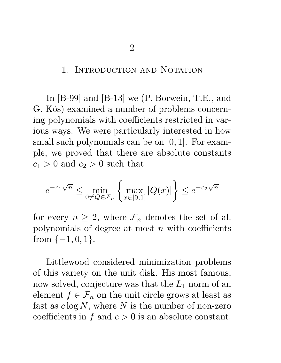## 1. INTRODUCTION AND NOTATION

In [B-99] and [B-13] we (P. Borwein, T.E., and G. Kós) examined a number of problems concerning polynomials with coefficients restricted in various ways. We were particularly interested in how small such polynomials can be on  $[0, 1]$ . For example, we proved that there are absolute constants  $c_1 > 0$  and  $c_2 > 0$  such that

$$
e^{-c_1\sqrt{n}} \le \min_{0 \ne Q \in \mathcal{F}_n} \left\{ \max_{x \in [0,1]} |Q(x)| \right\} \le e^{-c_2\sqrt{n}}
$$

for every  $n \geq 2$ , where  $\mathcal{F}_n$  denotes the set of all polynomials of degree at most  $n$  with coefficients from  $\{-1,0,1\}.$ 

Littlewood considered minimization problems of this variety on the unit disk. His most famous, now solved, conjecture was that the  $L_1$  norm of an element  $f \in \mathcal{F}_n$  on the unit circle grows at least as fast as  $c \log N$ , where N is the number of non-zero coefficients in  $f$  and  $c > 0$  is an absolute constant.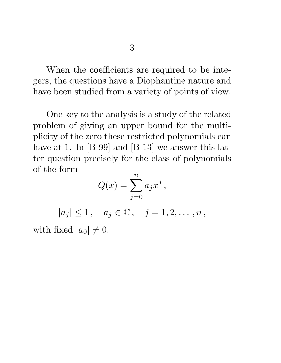When the coefficients are required to be integers, the questions have a Diophantine nature and have been studied from a variety of points of view.

One key to the analysis is a study of the related problem of giving an upper bound for the multiplicity of the zero these restricted polynomials can have at 1. In [B-99] and [B-13] we answer this latter question precisely for the class of polynomials of the form n

$$
Q(x) = \sum_{j=0}^{n} a_j x^j,
$$

 $|a_j| \leq 1$ ,  $a_j \in \mathbb{C}$ ,  $j = 1, 2, ..., n$ , with fixed  $|a_0| \neq 0$ .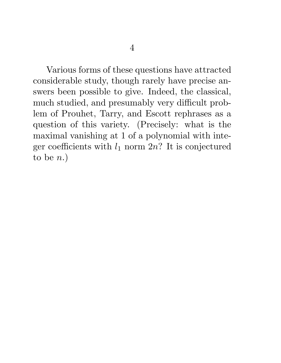Various forms of these questions have attracted considerable study, though rarely have precise answers been possible to give. Indeed, the classical, much studied, and presumably very difficult problem of Prouhet, Tarry, and Escott rephrases as a question of this variety. (Precisely: what is the maximal vanishing at 1 of a polynomial with integer coefficients with  $l_1$  norm  $2n$ ? It is conjectured to be  $n.$ )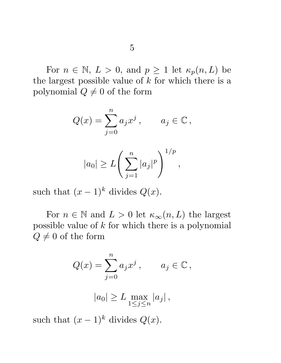For  $n \in \mathbb{N}, L > 0$ , and  $p \ge 1$  let  $\kappa_p(n, L)$  be the largest possible value of  $k$  for which there is a polynomial  $Q \neq 0$  of the form

$$
Q(x) = \sum_{j=0}^{n} a_j x^j, \qquad a_j \in \mathbb{C},
$$

$$
|a_0| \ge L\left(\sum_{j=1}^n |a_j|^p\right)^{1/p},
$$

such that  $(x-1)^k$  divides  $Q(x)$ .

For  $n \in \mathbb{N}$  and  $L > 0$  let  $\kappa_{\infty}(n, L)$  the largest possible value of k for which there is a polynomial  $Q \neq 0$  of the form

$$
Q(x) = \sum_{j=0}^{n} a_j x^j, \qquad a_j \in \mathbb{C},
$$

$$
|a_0| \ge L \max_{1 \le j \le n} |a_j| \,,
$$

such that  $(x-1)^k$  divides  $Q(x)$ .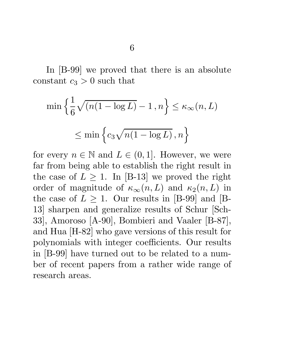In [B-99] we proved that there is an absolute constant  $c_3 > 0$  such that

$$
\min\left\{\frac{1}{6}\sqrt{(n(1-\log L)}-1, n\right\} \le \kappa_{\infty}(n, L)
$$

$$
\le \min\left\{c_3\sqrt{n(1-\log L)}, n\right\}
$$

for every  $n \in \mathbb{N}$  and  $L \in (0,1]$ . However, we were far from being able to establish the right result in the case of  $L \geq 1$ . In [B-13] we proved the right order of magnitude of  $\kappa_{\infty}(n,L)$  and  $\kappa_2(n,L)$  in the case of  $L \geq 1$ . Our results in [B-99] and [B-13] sharpen and generalize results of Schur [Sch-33], Amoroso [A-90], Bombieri and Vaaler [B-87], and Hua [H-82] who gave versions of this result for polynomials with integer coefficients. Our results in [B-99] have turned out to be related to a number of recent papers from a rather wide range of research areas.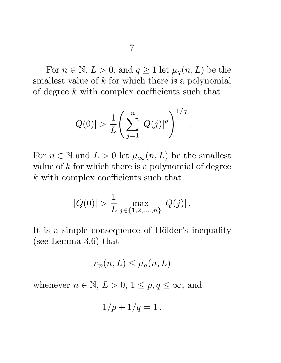For  $n \in \mathbb{N}, L > 0$ , and  $q \ge 1$  let  $\mu_q(n, L)$  be the smallest value of  $k$  for which there is a polynomial of degree k with complex coefficients such that

$$
|Q(0)| > \frac{1}{L} \left( \sum_{j=1}^{n} |Q(j)|^q \right)^{1/q}.
$$

For  $n \in \mathbb{N}$  and  $L > 0$  let  $\mu_{\infty}(n, L)$  be the smallest value of  $k$  for which there is a polynomial of degree k with complex coefficients such that

$$
|Q(0)| > \frac{1}{L} \max_{j \in \{1, 2, \dots, n\}} |Q(j)|.
$$

It is a simple consequence of Hölder's inequality (see Lemma 3.6) that

$$
\kappa_p(n, L) \le \mu_q(n, L)
$$

whenever  $n \in \mathbb{N}, L > 0, 1 \leq p, q \leq \infty$ , and

$$
1/p+1/q=1.
$$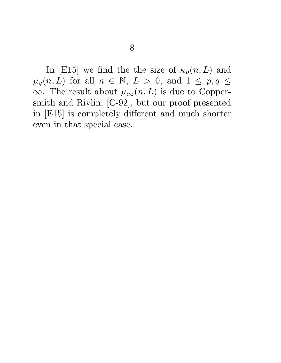In [E15] we find the the size of  $\kappa_p(n,L)$  and  $\mu_q(n,L)$  for all  $n \in \mathbb{N}, L > 0$ , and  $1 \leq p, q \leq$  $\infty$ . The result about  $\mu_{\infty}(n,L)$  is due to Coppersmith and Rivlin, [C-92], but our proof presented in [E15] is completely different and much shorter even in that special case.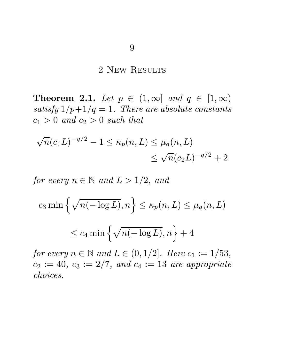# 2 New Results

**Theorem 2.1.** Let  $p \in (1,\infty]$  and  $q \in [1,\infty)$ satisfy  $1/p+1/q=1$ . There are absolute constants  $c_1 > 0$  and  $c_2 > 0$  such that

$$
\sqrt{n}(c_1L)^{-q/2} - 1 \le \kappa_p(n, L) \le \mu_q(n, L)
$$
  

$$
\le \sqrt{n}(c_2L)^{-q/2} + 2
$$

for every  $n \in \mathbb{N}$  and  $L > 1/2$ , and

$$
c_3 \min\left\{\sqrt{n(-\log L)}, n\right\} \le \kappa_p(n, L) \le \mu_q(n, L)
$$
  

$$
\le c_4 \min\left\{\sqrt{n(-\log L)}, n\right\} + 4
$$

for every  $n \in \mathbb{N}$  and  $L \in (0, 1/2]$ . Here  $c_1 := 1/53$ ,  $c_2 := 40, c_3 := 2/7, and c_4 := 13 are appropriate$ choices.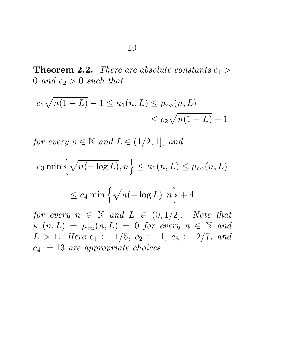**Theorem 2.2.** There are absolute constants  $c_1 >$ 0 and  $c_2 > 0$  such that

$$
c_1 \sqrt{n(1-L)} - 1 \le \kappa_1(n, L) \le \mu_\infty(n, L)
$$
  
\$\le c\_2 \sqrt{n(1-L)} + 1\$

for every  $n \in \mathbb{N}$  and  $L \in (1/2, 1]$ , and

$$
c_3 \min\left\{\sqrt{n(-\log L)}, n\right\} \le \kappa_1(n, L) \le \mu_\infty(n, L)
$$
  

$$
\le c_4 \min\left\{\sqrt{n(-\log L)}, n\right\} + 4
$$

for every  $n \in \mathbb{N}$  and  $L \in (0, 1/2]$ . Note that  $\kappa_1(n,L) = \mu_\infty(n,L) = 0$  for every  $n \in \mathbb{N}$  and  $L > 1$ . Here  $c_1 := 1/5$ ,  $c_2 := 1$ ,  $c_3 := 2/7$ , and  $c_4 := 13$  are appropriate choices.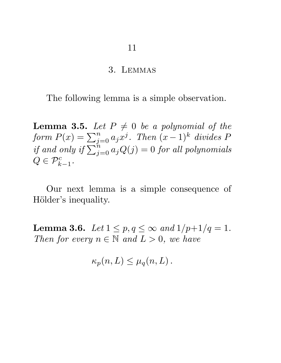#### 3. Lemmas

The following lemma is a simple observation.

**Lemma 3.5.** Let  $P \neq 0$  be a polynomial of the form  $P(x) = \sum_{j=0}^{n} a_j x^j$ . Then  $(x-1)^k$  divides  $P$ if and only if  $\sum_{j=0}^{n} a_j Q(j) = 0$  for all polynomials  $Q \in \mathcal{P}_{k-1}^c$ .

Our next lemma is a simple consequence of Hölder's inequality.

**Lemma 3.6.** Let  $1 \le p, q \le \infty$  and  $1/p+1/q = 1$ . Then for every  $n \in \mathbb{N}$  and  $L > 0$ , we have

$$
\kappa_p(n,L) \leq \mu_q(n,L) .
$$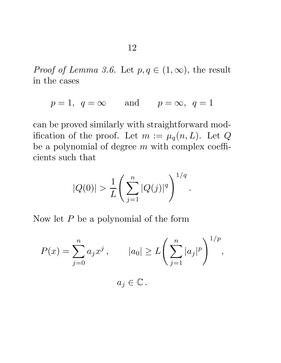*Proof of Lemma 3.6.* Let  $p, q \in (1, \infty)$ , the result in the cases

$$
p = 1, q = \infty
$$
 and  $p = \infty, q = 1$ 

can be proved similarly with straightforward modification of the proof. Let  $m := \mu_q(n,L)$ . Let Q be a polynomial of degree  $m$  with complex coefficients such that

$$
|Q(0)| > \frac{1}{L} \left( \sum_{j=1}^{n} |Q(j)|^q \right)^{1/q}
$$

.

Now let  $P$  be a polynomial of the form

$$
P(x) = \sum_{j=0}^{n} a_j x^j, \qquad |a_0| \ge L\left(\sum_{j=1}^{n} |a_j|^p\right)^{1/p},
$$

$$
a_j \in \mathbb{C}.
$$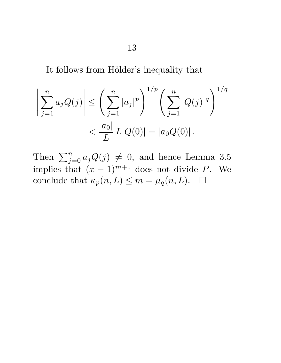It follows from Hölder's inequality that

$$
\left| \sum_{j=1}^{n} a_j Q(j) \right| \leq \left( \sum_{j=1}^{n} |a_j|^p \right)^{1/p} \left( \sum_{j=1}^{n} |Q(j)|^q \right)^{1/q}
$$

$$
< \frac{|a_0|}{L} L|Q(0)| = |a_0 Q(0)|.
$$

Then  $\sum_{j=0}^{n} a_j Q(j) \neq 0$ , and hence Lemma 3.5 implies that  $(x - 1)^{m+1}$  does not divide P. We conclude that  $\kappa_p(n, L) \leq m = \mu_q(n, L)$ .  $\Box$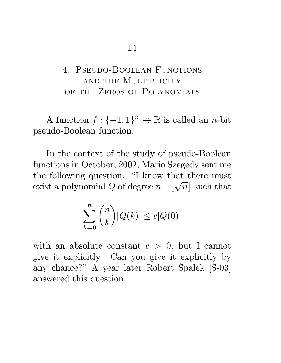# 4. Pseudo-Boolean Functions and the Multiplicity of the Zeros of Polynomials

A function  $f: \{-1, 1\}^n \to \mathbb{R}$  is called an *n*-bit pseudo-Boolean function.

In the context of the study of pseudo-Boolean functions in October, 2002, Mario Szegedy sent me the following question. "I know that there must exist a polynomial Q of degree  $n - \lfloor \sqrt{n} \rfloor$  such that

$$
\sum_{k=0}^{n} \binom{n}{k} |Q(k)| \le c|Q(0)|
$$

with an absolute constant  $c > 0$ , but I cannot give it explicitly. Can you give it explicitly by any chance?" A year later Robert Špalek  $[\text{\r{S}}-03]$ answered this question.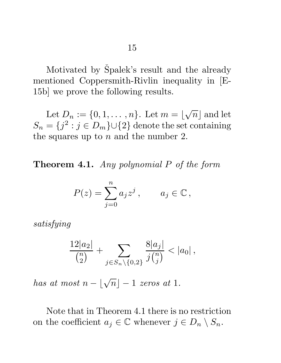Motivated by Špalek's result and the already mentioned Coppersmith-Rivlin inequality in [E-15b] we prove the following results.

Let  $D_n := \{0, 1, \ldots, n\}$ . Let  $m = \lfloor \frac{n}{n} \rfloor$ √  $\overline{n}$  and let  $S_n = \{j^2 : j \in D_m\} \cup \{2\}$  denote the set containing the squares up to  $n$  and the number 2.

Theorem 4.1. Any polynomial P of the form

$$
P(z) = \sum_{j=0}^{n} a_j z^j, \qquad a_j \in \mathbb{C},
$$

satisfying

$$
\frac{12|a_2|}{\binom{n}{2}} + \sum_{j \in S_n \setminus \{0,2\}} \frac{8|a_j|}{j\binom{n}{j}} < |a_0| \,,
$$

has at most  $n - \lfloor \sqrt{n} \rfloor - 1$  zeros at 1.

Note that in Theorem 4.1 there is no restriction on the coefficient  $a_j \in \mathbb{C}$  whenever  $j \in D_n \setminus S_n$ .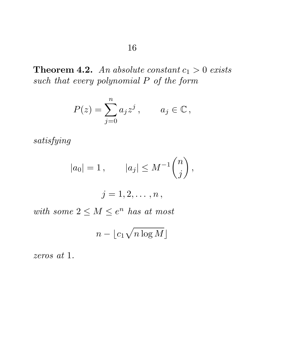**Theorem 4.2.** An absolute constant  $c_1 > 0$  exists such that every polynomial  $P$  of the form

$$
P(z) = \sum_{j=0}^{n} a_j z^j, \qquad a_j \in \mathbb{C},
$$

satisfying

$$
|a_0| = 1, \qquad |a_j| \le M^{-1} \binom{n}{j},
$$

$$
j=1,2,\ldots,n\,,
$$

with some  $2 \leq M \leq e^n$  has at most

$$
n - \lfloor c_1 \sqrt{n \log M} \rfloor
$$

zeros at 1.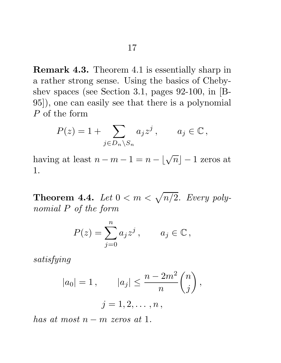Remark 4.3. Theorem 4.1 is essentially sharp in a rather strong sense. Using the basics of Chebyshev spaces (see Section 3.1, pages 92-100, in [B-95]), one can easily see that there is a polynomial P of the form

$$
P(z) = 1 + \sum_{j \in D_n \setminus S_n} a_j z^j, \qquad a_j \in \mathbb{C},
$$

having at least  $n - m - 1 = n - \lfloor \sqrt{n} \rfloor - 1$  zeros at 1.

Theorem 4.4. Let  $0 < m < \sqrt{n/2}$ . Every polynomial P of the form

$$
P(z) = \sum_{j=0}^{n} a_j z^j, \qquad a_j \in \mathbb{C},
$$

satisfying

$$
|a_0| = 1
$$
,  $|a_j| \le \frac{n - 2m^2}{n} {n \choose j}$ ,  
 $j = 1, 2, ..., n$ ,

has at most  $n - m$  zeros at 1.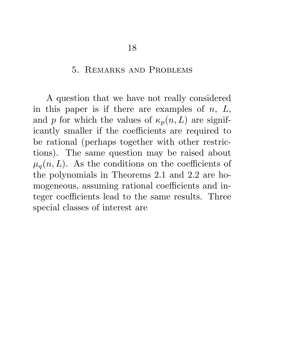## 5. Remarks and Problems

A question that we have not really considered in this paper is if there are examples of  $n, L$ , and p for which the values of  $\kappa_p(n, L)$  are significantly smaller if the coefficients are required to be rational (perhaps together with other restrictions). The same question may be raised about  $\mu_q(n,L)$ . As the conditions on the coefficients of the polynomials in Theorems 2.1 and 2.2 are homogeneous, assuming rational coefficients and integer coefficients lead to the same results. Three special classes of interest are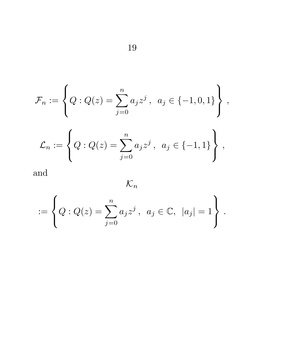$$
\mathcal{F}_n := \left\{ Q : Q(z) = \sum_{j=0}^n a_j z^j \,, a_j \in \{-1, 0, 1\} \right\} \,,
$$

$$
\mathcal{L}_n := \left\{ Q : Q(z) = \sum_{j=0}^n a_j z^j \,, \ a_j \in \{-1, 1\} \right\} \,,
$$

and

$$
\mathcal{K}_n
$$

$$
:= \left\{ Q : Q(z) = \sum_{j=0}^{n} a_j z^j , a_j \in \mathbb{C}, |a_j| = 1 \right\}.
$$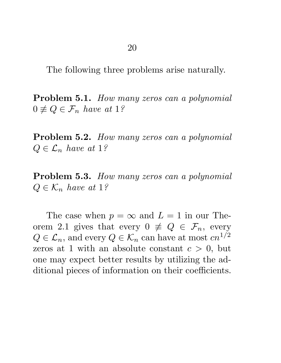The following three problems arise naturally.

Problem 5.1. How many zeros can a polynomial  $0 \not\equiv Q \in \mathcal{F}_n$  have at 1?

Problem 5.2. How many zeros can a polynomial  $Q \in \mathcal{L}_n$  have at 1?

Problem 5.3. How many zeros can a polynomial  $Q \in \mathcal{K}_n$  have at 1?

The case when  $p = \infty$  and  $L = 1$  in our Theorem 2.1 gives that every  $0 \not\equiv Q \in \mathcal{F}_n$ , every  $Q \in \mathcal{L}_n$ , and every  $Q \in \mathcal{K}_n$  can have at most  $cn^{1/2}$ zeros at 1 with an absolute constant  $c > 0$ , but one may expect better results by utilizing the additional pieces of information on their coefficients.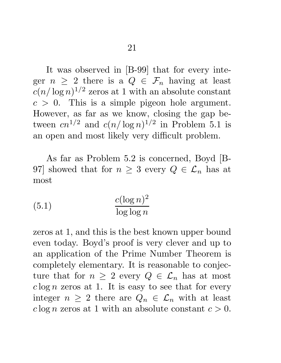It was observed in [B-99] that for every integer  $n \geq 2$  there is a  $Q \in \mathcal{F}_n$  having at least  $c(n/\log n)^{1/2}$  zeros at 1 with an absolute constant  $c > 0$ . This is a simple pigeon hole argument. However, as far as we know, closing the gap between  $cn^{1/2}$  and  $c(n/\log n)^{1/2}$  in Problem 5.1 is an open and most likely very difficult problem.

As far as Problem 5.2 is concerned, Boyd [B-97] showed that for  $n \geq 3$  every  $Q \in \mathcal{L}_n$  has at most

(5.1) 
$$
\frac{c(\log n)^2}{\log \log n}
$$

zeros at 1, and this is the best known upper bound even today. Boyd's proof is very clever and up to an application of the Prime Number Theorem is completely elementary. It is reasonable to conjecture that for  $n \geq 2$  every  $Q \in \mathcal{L}_n$  has at most  $c \log n$  zeros at 1. It is easy to see that for every integer  $n \geq 2$  there are  $Q_n \in \mathcal{L}_n$  with at least  $c \log n$  zeros at 1 with an absolute constant  $c > 0$ .